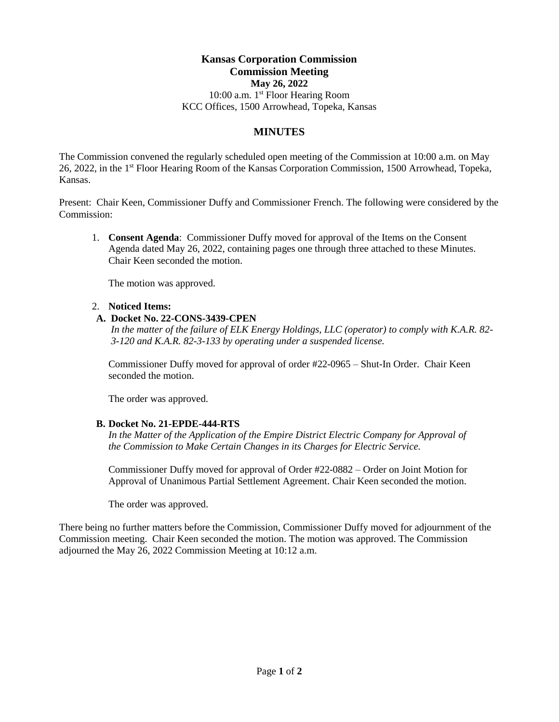#### **Kansas Corporation Commission Commission Meeting May 26, 2022** 10:00 a.m. 1st Floor Hearing Room KCC Offices, 1500 Arrowhead, Topeka, Kansas

#### **MINUTES**

The Commission convened the regularly scheduled open meeting of the Commission at 10:00 a.m. on May 26, 2022, in the 1<sup>st</sup> Floor Hearing Room of the Kansas Corporation Commission, 1500 Arrowhead, Topeka, Kansas.

Present: Chair Keen, Commissioner Duffy and Commissioner French. The following were considered by the Commission:

1. **Consent Agenda**: Commissioner Duffy moved for approval of the Items on the Consent Agenda dated May 26, 2022, containing pages one through three attached to these Minutes. Chair Keen seconded the motion.

The motion was approved.

#### 2. **Noticed Items:**

#### **A. Docket No. 22-CONS-3439-CPEN**

*In the matter of the failure of ELK Energy Holdings, LLC (operator) to comply with K.A.R. 82- 3-120 and K.A.R. 82-3-133 by operating under a suspended license.*

Commissioner Duffy moved for approval of order #22-0965 – Shut-In Order. Chair Keen seconded the motion.

The order was approved.

#### **B. Docket No. 21-EPDE-444-RTS**

*In the Matter of the Application of the Empire District Electric Company for Approval of the Commission to Make Certain Changes in its Charges for Electric Service.*

Commissioner Duffy moved for approval of Order #22-0882 – Order on Joint Motion for Approval of Unanimous Partial Settlement Agreement. Chair Keen seconded the motion.

The order was approved.

There being no further matters before the Commission, Commissioner Duffy moved for adjournment of the Commission meeting. Chair Keen seconded the motion. The motion was approved. The Commission adjourned the May 26, 2022 Commission Meeting at 10:12 a.m.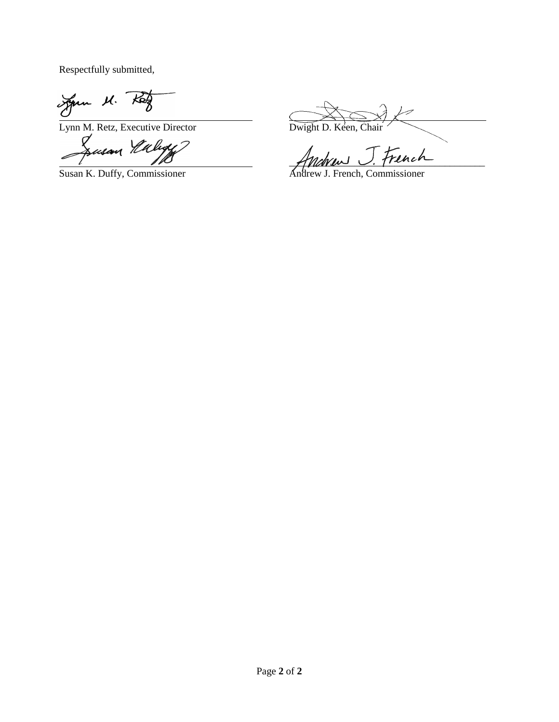Respectfully submitted,

Jan M. Rey

 $\frac{U}{L_{\text{Ynn M. Retz, Executive Director}}$  Dwight D. Keen, Chair Dwight D. Keen, Chair

 $\mathcal{A}$ 

Anchaus J. French

Susan K. Duffy, Commissioner Andrew J. French, Commissioner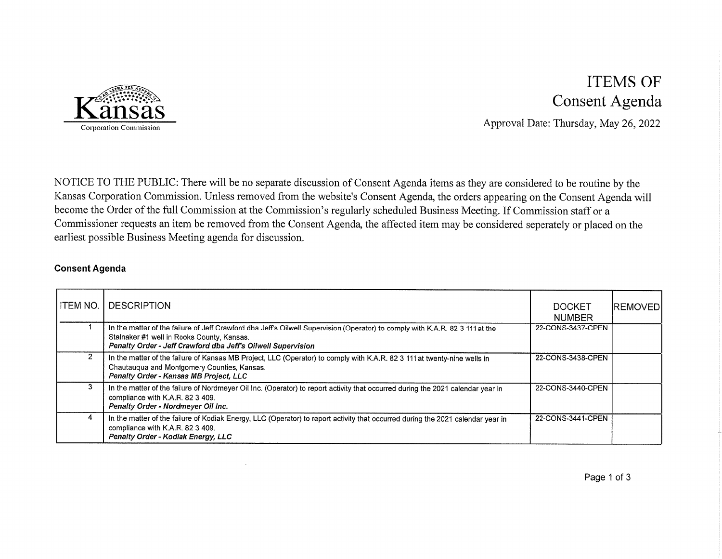

# **ITEMS OF** Consent Agenda

Approval Date: Thursday, May 26, 2022

NOTICE TO THE PUBLIC: There will be no separate discussion of Consent Agenda items as they are considered to be routine by the Kansas Corporation Commission. Unless removed from the website's Consent Agenda, the orders appearing on the Consent Agenda will become the Order of the full Commission at the Commission's regularly scheduled Business Meeting. If Commission staff or a Commissioner requests an item be removed from the Consent Agenda, the affected item may be considered seperately or placed on the earliest possible Business Meeting agenda for discussion.

#### **Consent Agenda**

| I ITEM NO. | <b>DESCRIPTION</b>                                                                                                                                                                                                                          | <b>DOCKET</b><br><b>NUMBER</b> | <b>IREMOVED</b> |
|------------|---------------------------------------------------------------------------------------------------------------------------------------------------------------------------------------------------------------------------------------------|--------------------------------|-----------------|
|            | In the matter of the failure of Jeff Crawford dba Jeff's Oilwell Supervision (Operator) to comply with K.A.R. 82 3 111 at the<br>Stalnaker #1 well in Rooks County, Kansas.<br>Penalty Order - Jeff Crawford dba Jeff's Oilwell Supervision | 22-CONS-3437-CPEN              |                 |
| 2          | In the matter of the failure of Kansas MB Project, LLC (Operator) to comply with K.A.R. 82 3 111 at twenty-nine wells in<br>Chautaugua and Montgomery Counties, Kansas.<br>Penalty Order - Kansas MB Project, LLC                           | 22-CONS-3438-CPEN              |                 |
| 3          | In the matter of the failure of Nordmeyer Oil Inc. (Operator) to report activity that occurred during the 2021 calendar year in<br>compliance with K.A.R. 82 3 409.<br>Penalty Order - Nordmeyer Oil Inc.                                   | 22-CONS-3440-CPEN              |                 |
| 4          | In the matter of the failure of Kodiak Energy, LLC (Operator) to report activity that occurred during the 2021 calendar year in<br>compliance with K.A.R. 82 3 409.<br>Penalty Order - Kodiak Energy, LLC                                   | 22-CONS-3441-CPEN              |                 |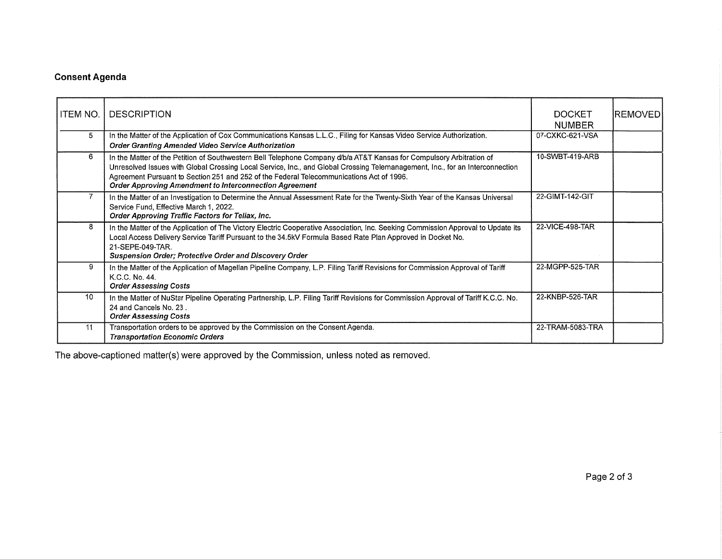### **Consent Agenda**

| ITEM NO. | <b>DESCRIPTION</b>                                                                                                                                                                                                                                                                                                                                                                                                | <b>DOCKET</b><br><b>NUMBER</b> | REMOVED |
|----------|-------------------------------------------------------------------------------------------------------------------------------------------------------------------------------------------------------------------------------------------------------------------------------------------------------------------------------------------------------------------------------------------------------------------|--------------------------------|---------|
| 5        | In the Matter of the Application of Cox Communications Kansas L.L.C., Filing for Kansas Video Service Authorization.<br>Order Granting Amended Video Service Authorization                                                                                                                                                                                                                                        | 07-CXKC-621-VSA                |         |
| 6        | In the Matter of the Petition of Southwestern Bell Telephone Company d/b/a AT&T Kansas for Compulsory Arbitration of<br>Unresolved Issues with Global Crossing Local Service, Inc., and Global Crossing Telemanagement, Inc., for an Interconnection<br>Agreement Pursuant to Section 251 and 252 of the Federal Telecommunications Act of 1996.<br><b>Order Approving Amendment to Interconnection Agreement</b> | 10-SWBT-419-ARB                |         |
|          | In the Matter of an Investigation to Determine the Annual Assessment Rate for the Twenty-Sixth Year of the Kansas Universal<br>Service Fund, Effective March 1, 2022.<br>Order Approving Traffic Factors for Teliax, Inc.                                                                                                                                                                                         | 22-GIMT-142-GIT                |         |
| 8        | In the Matter of the Application of The Victory Electric Cooperative Association, Inc. Seeking Commission Approval to Update its<br>Local Access Delivery Service Tariff Pursuant to the 34.5kV Formula Based Rate Plan Approved in Docket No.<br>21-SEPE-049-TAR.<br>Suspension Order; Protective Order and Discovery Order                                                                                      | 22-VICE-498-TAR                |         |
| 9        | In the Matter of the Application of Magellan Pipeline Company, L.P. Filing Tariff Revisions for Commission Approval of Tariff<br>K.C.C. No. 44.<br><b>Order Assessing Costs</b>                                                                                                                                                                                                                                   | 22-MGPP-525-TAR                |         |
| 10       | In the Matter of NuStar Pipeline Operating Partnership, L.P. Filing Tariff Revisions for Commission Approval of Tariff K.C.C. No.<br>24 and Cancels No. 23.<br><b>Order Assessing Costs</b>                                                                                                                                                                                                                       | 22-KNBP-526-TAR                |         |
| 11       | Transportation orders to be approved by the Commission on the Consent Agenda.<br><b>Transportation Economic Orders</b>                                                                                                                                                                                                                                                                                            | 22-TRAM-5083-TRA               |         |

The above-captioned matter(s) were approved by the Commission, unless noted as removed.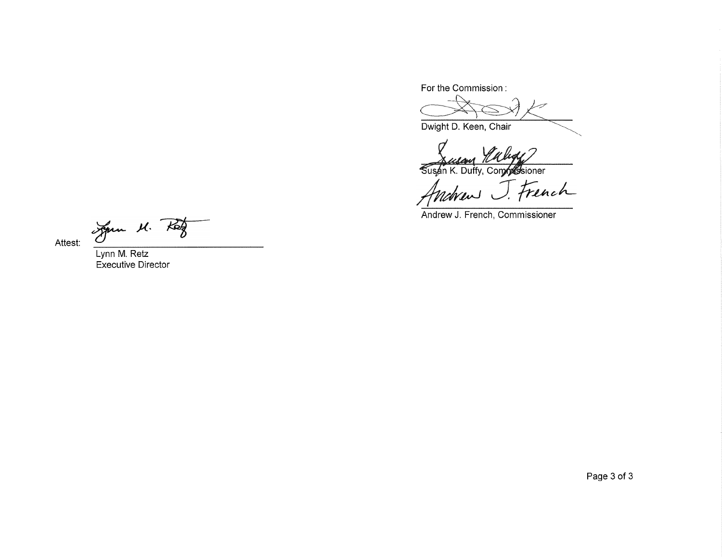For the Commission:

Dwight D. Keen, Chair

Susan K. Duffy, Complessioner

nch nchrew

Andrew J. French, Commissioner

Jan M. Rog

Lynn M. Retz **Executive Director** 

Attest:

Page 3 of 3